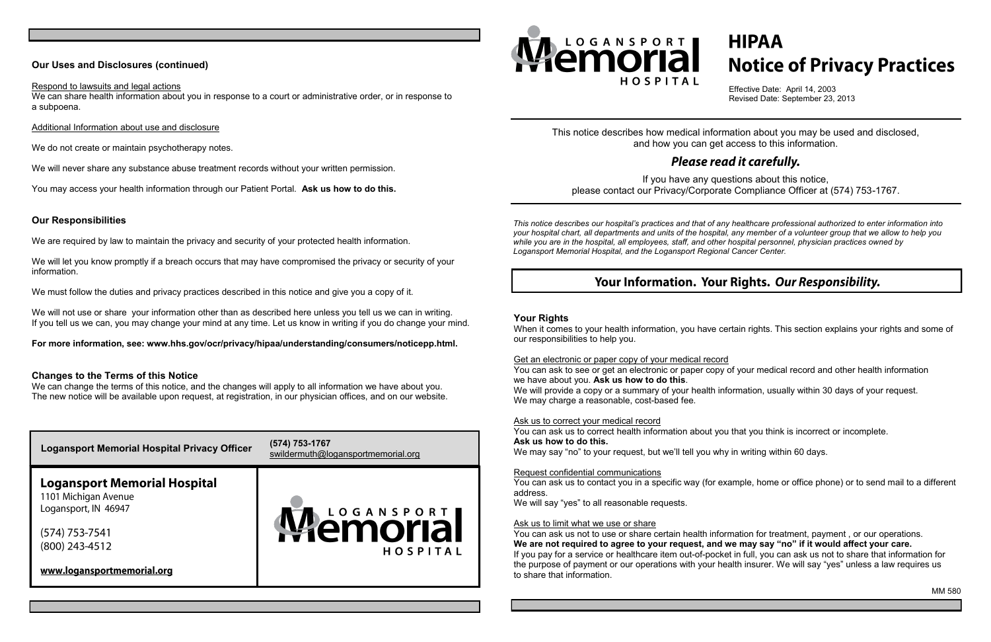#### **Your Rights**

When it comes to your health information, you have certain rights. This section explains your rights and some of our responsibilities to help you.

Get an electronic or paper copy of your medical record You can ask to see or get an electronic or paper copy of your medical record and other health information we have about you. **Ask us how to do this**. We will provide a copy or a summary of your health information, usually within 30 days of your request. We may charge a reasonable, cost-based fee.

Ask us to correct your medical record

You can ask us to correct health information about you that you think is incorrect or incomplete. **Ask us how to do this.**

We may say "no" to your request, but we'll tell you why in writing within 60 days.

Request confidential communications

You can ask us to contact you in a specific way (for example, home or office phone) or to send mail to a different address.

We will say "yes" to all reasonable requests.

#### Ask us to limit what we use or share

We will let you know promptly if a breach occurs that may have compromised the privacy or security of your information.

> You can ask us not to use or share certain health information for treatment, payment , or our operations. **We are not required to agree to your request, and we may say "no" if it would affect your care.** If you pay for a service or healthcare item out-of-pocket in full, you can ask us not to share that information for the purpose of payment or our operations with your health insurer. We will say "yes" unless a law requires us to share that information.

# **HIPAA Notice of Privacy Practices**

We will not use or share your information other than as described here unless you tell us we can in writing. If you tell us we can, you may change your mind at any time. Let us know in writing if you do change your mind.

We can change the terms of this notice, and the changes will apply to all information we have about you. The new notice will be available upon request, at registration, in our physician offices, and on our website.

MM 580

## **Our Uses and Disclosures (continued)**

#### Respond to lawsuits and legal actions

We can share health information about you in response to a court or administrative order, or in response to a subpoena.

#### Additional Information about use and disclosure

We do not create or maintain psychotherapy notes.

We will never share any substance abuse treatment records without your written permission.

You may access your health information through our Patient Portal. **Ask us how to do this.**

#### **Our Responsibilities**

We are required by law to maintain the privacy and security of your protected health information.

We must follow the duties and privacy practices described in this notice and give you a copy of it.

**For more information, see: www.hhs.gov/ocr/privacy/hipaa/understanding/consumers/noticepp.html.**

#### **Changes to the Terms of this Notice**





This notice describes how medical information about you may be used and disclosed, and how you can get access to this information.

If you have any questions about this notice, please contact our Privacy/Corporate Compliance Officer at (574) 753-1767.

*This notice describes our hospital's practices and that of any healthcare professional authorized to enter information into your hospital chart, all departments and units of the hospital, any member of a volunteer group that we allow to help you while you are in the hospital, all employees, staff, and other hospital personnel, physician practices owned by Logansport Memorial Hospital, and the Logansport Regional Cancer Center.*

# Your Information. Your Rights. Our Responsibility.

Effective Date: April 14, 2003 Revised Date: September 23, 2013

## Please read it carefully.